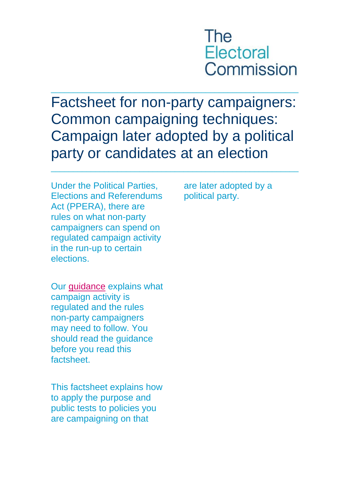

Factsheet for non-party campaigners: Common campaigning techniques: Campaign later adopted by a political party or candidates at an election

\_\_\_\_\_\_\_\_\_\_\_\_\_\_\_\_\_\_\_\_\_\_\_\_\_\_\_\_\_\_\_\_\_\_\_\_\_\_\_\_\_\_\_\_\_\_\_\_\_\_\_\_\_\_\_\_

 $\_$  , and the set of the set of the set of the set of the set of the set of the set of the set of the set of the set of the set of the set of the set of the set of the set of the set of the set of the set of the set of th

Under the Political Parties, Elections and Referendums Act (PPERA), there are rules on what non-party campaigners can spend on regulated campaign activity in the run-up to certain elections.

Our [guidance](http://www.electoralcommission.org.uk/i-am-a/party-or-campaigner/non-party-campaigners) explains what campaign activity is regulated and the rules non-party campaigners may need to follow. You should read the guidance before you read this factsheet.

This factsheet explains how to apply the purpose and public tests to policies you are campaigning on that

are later adopted by a political party.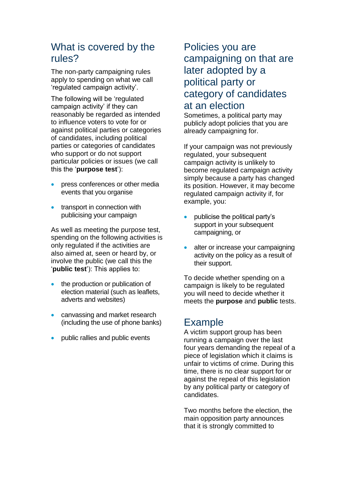# What is covered by the rules?

The non-party campaigning rules apply to spending on what we call 'regulated campaign activity'.

The following will be 'regulated campaign activity' if they can reasonably be regarded as intended to influence voters to vote for or against political parties or categories of candidates, including political parties or categories of candidates who support or do not support particular policies or issues (we call this the '**purpose test**'):

- press conferences or other media events that you organise
- transport in connection with publicising your campaign

As well as meeting the purpose test, spending on the following activities is only regulated if the activities are also aimed at, seen or heard by, or involve the public (we call this the '**public test**'): This applies to:

- the production or publication of election material (such as leaflets, adverts and websites)
- canvassing and market research (including the use of phone banks)
- public rallies and public events

# Policies you are campaigning on that are later adopted by a political party or category of candidates at an election

Sometimes, a political party may publicly adopt policies that you are already campaigning for.

If your campaign was not previously regulated, your subsequent campaign activity is unlikely to become regulated campaign activity simply because a party has changed its position. However, it may become regulated campaign activity if, for example, you:

- publicise the political party's support in your subsequent campaigning, or
- alter or increase your campaigning activity on the policy as a result of their support.

To decide whether spending on a campaign is likely to be regulated you will need to decide whether it meets the **purpose** and **public** tests.

# Example

A victim support group has been running a campaign over the last four years demanding the repeal of a piece of legislation which it claims is unfair to victims of crime. During this time, there is no clear support for or against the repeal of this legislation by any political party or category of candidates.

Two months before the election, the main opposition party announces that it is strongly committed to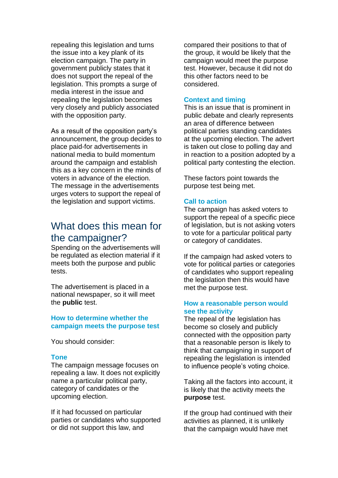repealing this legislation and turns the issue into a key plank of its election campaign. The party in government publicly states that it does not support the repeal of the legislation. This prompts a surge of media interest in the issue and repealing the legislation becomes very closely and publicly associated with the opposition party.

As a result of the opposition party's announcement, the group decides to place paid-for advertisements in national media to build momentum around the campaign and establish this as a key concern in the minds of voters in advance of the election. The message in the advertisements urges voters to support the repeal of the legislation and support victims.

## What does this mean for the campaigner?

Spending on the advertisements will be regulated as election material if it meets both the purpose and public tests.

The advertisement is placed in a national newspaper, so it will meet the **public** test.

### **How to determine whether the campaign meets the purpose test**

You should consider:

## **Tone**

The campaign message focuses on repealing a law. It does not explicitly name a particular political party, category of candidates or the upcoming election.

If it had focussed on particular parties or candidates who supported or did not support this law, and

compared their positions to that of the group, it would be likely that the campaign would meet the purpose test. However, because it did not do this other factors need to be considered.

#### **Context and timing**

This is an issue that is prominent in public debate and clearly represents an area of difference between political parties standing candidates at the upcoming election. The advert is taken out close to polling day and in reaction to a position adopted by a political party contesting the election.

These factors point towards the purpose test being met.

#### **Call to action**

The campaign has asked voters to support the repeal of a specific piece of legislation, but is not asking voters to vote for a particular political party or category of candidates.

If the campaign had asked voters to vote for political parties or categories of candidates who support repealing the legislation then this would have met the purpose test.

## **How a reasonable person would see the activity**

The repeal of the legislation has become so closely and publicly connected with the opposition party that a reasonable person is likely to think that campaigning in support of repealing the legislation is intended to influence people's voting choice.

Taking all the factors into account, it is likely that the activity meets the **purpose** test.

If the group had continued with their activities as planned, it is unlikely that the campaign would have met